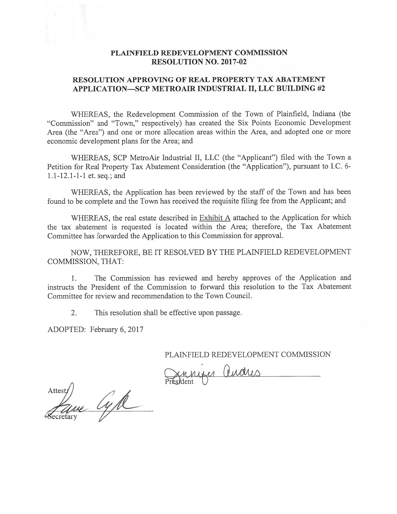# PLAINFIELD REDEVELOPMENT COMMISSION RESOLUTION NO. 2017-02

# RESOLUTION APPROVING OF REAL PROPERTY TAX ABATEMENT APPLICATION—SCP METROAIR INDUSTRIAL II, LLC BUILDING #2

WHEREAS, the Redevelopment Commission of the Town of Plainfield, Indiana (the "Commission" and "Town," respectively) has created the Six Points Economic Development Area (the "Area") and one or more allocation areas within the Area, and adopted one or more economic development plans for the Area; and

WHEREAS, SCP MetroAir Industrial II, LLC (the "Applicant") filed with the Town <sup>a</sup> Petition for Real Property Tax Abatement Consideration (the "Application"), pursuan<sup>t</sup> to I.C. 6- 1.1-12.1-1-1 et. seq.; and

WHEREAS, the Application has been reviewed by the staff of the Town and has been found to be complete and the Town has received the requisite filing fee from the Applicant; and

WHEREAS, the real estate described in Exhibit A attached to the Application for which the tax abatement is requested is located within the Area; therefore, the Tax Abatement Committee has forwarded the Application to this Commission for approval.

NOW, THEREFORE, BE IT RESOLVED BY THE PLATNFIELD REDEVELOPMENT COMMISSION, THAT:

1. The Commission has reviewed and hereby approves of the Application and instructs the President of the Commission to forward this resolution to the Tax Abatement Committee for review and recommendation to the Town Council.

2. This resolution shall be effective upon passage.

ADOPTED: February 6, 2017

PLAfNFIELD REDEVELOPMENT COMMISSION

Dimmiser (Indus

Attest/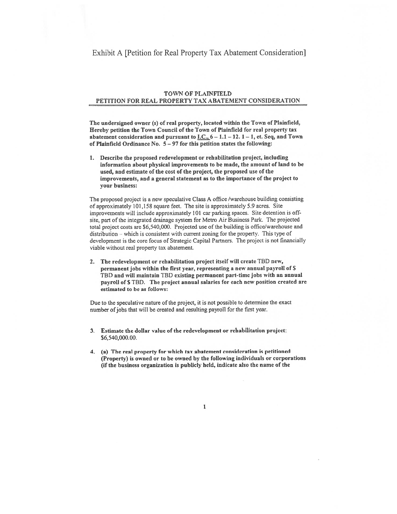## Exhibit A [Petition for Real Property Tax Abatement Consideration]

### TOWN OF PLAINFIELD PETITION FOR REAL PROPERTY TAX ABATEMENT CONSIDERATION

The undersigned owner (s) of real property, located within the Town of Plainfield, Hereby petition the Town Council of the Town of Plainfield for real property tax abatement consideration and pursuant to I.C.,  $6 - 1.1 - 12.1 - 1$ , et. Seq, and Town of Plainfield Ordinance No.  $5 - 97$  for this petition states the following:

1. Describe the proposed redevelopment or rehabilitation project, including information about <sup>p</sup>hysical improvements to be made, the amount of land to he used, and estimate of the cost of the project, the proposed use of the improvements, and <sup>a</sup> general statement as to the importance of the project to your business:

The proposed project is a new speculative Class A office /warehouse building consisting of approximately 101,158 square feet. The site is approximately 5.9 acres. Site improvements will include approximately 101 car parking spaces. Site detention is offsite, part of the integrated drainage system for Metro Air Business Park. The projected total project costs are \$6,540,000. Projected use of the building is office/warehouse and distribution - which is consistent with current zoning for the property. This type of development is the core focus of Strategic Capital Partners. The project is not financially viable without real property tax abatement.

2. The redevelopment or rehabilitation project itself wifl create ThD new, permanen<sup>t</sup> jobs within the first year, representing <sup>a</sup> new annual payroll of <sup>S</sup> TBD and will maintain TBD existing permanen<sup>t</sup> part-time jobs with an annual payroll of \$TBD. The project annual salaries for each new position created are estimated to be as follows:

Due to the speculative nature of the project, it is not possible to determine the exact number of jobs that will be created and resulting payroll for the first year.

- I Estimate the dollar value of the redevelopment or rehabilitation project: \$6,540,000.00.
- 4. (a) The real property for which tax abatement consideration is petitioned (Property) is owned or to be owned by the following individuals or corporations (if the business organization is publicly held, indicate also the name of the

I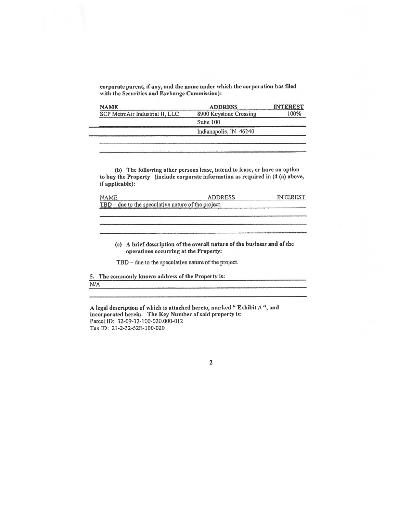corporate parent, if any, and the name under which the corporation has filed with the Securities and Exchange Commission):

|                                 | <b>ADDRESS</b>         | <b>INTEREST</b> |
|---------------------------------|------------------------|-----------------|
| SCP MetroAir Industrial II, LLC | 8900 Keystone Crossing | 100%            |
|                                 | Suite 100              |                 |
|                                 | Indianapolis, IN 46240 |                 |

(b) The following other persons lease, intend to Lease, or have an option to buy the Property (include corporate information as required in (4 (a) above, if applicable):

| NAME.                                               | <b>ADDRESS</b> | INTER EST |  |  |
|-----------------------------------------------------|----------------|-----------|--|--|
| TBD – due to the speculative nature of the project. |                |           |  |  |
|                                                     |                |           |  |  |

(c) <sup>A</sup> brief description of the overall nature of the business and of the operations occurring at the Property:

TBD – due to the speculative nature of the project.

5. The commonly known address of the Property is: NA

A legal description of which is attached hereto, marked "Exhibit A", and incorporated herein. The Key Number of said property is: Parcel ID: 32-09-32-100-020.000-012 Tax ID: 21-2-32-52E-100-020

2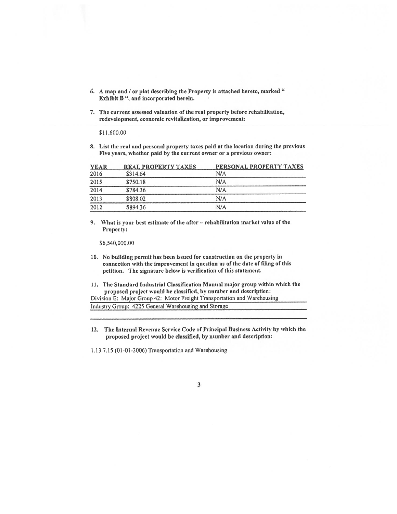- 6. A map and / or plat describing the Property is attached hereto, marked " Exhibit B ", and incorporated herein.
- 7. The current assessed valuation of the real property before rehabilitation, redevelopment, economic revitalization, or improvement:

\$11,600.00

8. List the real and personal property taxes paid at the location during the previous Five years, whether paid by the current owner or a previous owner:

| <b>YEAR</b> | <b>REAL PROPERTY TAXES</b> | PERSONAL PROPERTY TAXES |
|-------------|----------------------------|-------------------------|
| 2016        | \$314.64                   | N/A                     |
| 2015        | \$750.18                   | N/A                     |
| 2014        | \$784.36                   | N/A                     |
| 2013        | \$808.02                   | N/A                     |
| 2012        | \$894.36                   | N/A                     |

9. What is your best estimate of the after -- rehabilitation market value of the Property:

\$6,540,000.00

- 10. No building permit has been issued for construction on the property in connection with the improvement in question as of the date of filing of this petition. The signature below is verification of this statement.
- 11. The Standard Industrial Classification Manual major group within which the proposed project would be classified, by number and description:

Division E: Major Group 42: Motor Freight Transportation and Warehousing Industry Group: 4225 General Warehousing and Storage

12. The Internal Revenue Service Code of Principal Business Activity by which the proposed project would be classified, by number and description:

1.13.7.15 (01-01-2006) Transportation and Warehousing

### $\mathbf{3}$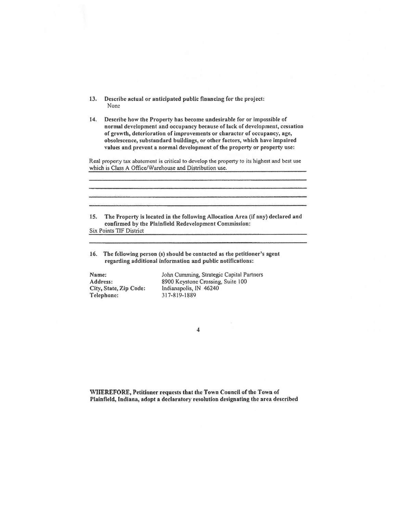- 13. Describe actual or anticipated public financing for the project: None
- 14. Describe how the Property has become undesirable for or impossible of normal development and occupancy because of lack of development, cessation of growth, deterioration of improvements or character of occupancy, age, obsolescence, substandard buildings, or other factors, which have impaired values and preven<sup>t</sup> <sup>a</sup> normal development of the property or property use:

Real property tax abatement is critical to develop the property to its highest and best use which is Class A Office/Warehouse and Distribution use.

| <b>15.</b> | The Property is located in the following Allocation Area (if any) declared and<br>confirmed by the Plainfield Redevelopment Commission: |
|------------|-----------------------------------------------------------------------------------------------------------------------------------------|
|            | <b>Six Points TIF District</b>                                                                                                          |

16. The following person (s) should he contacted as the petitioner's agen<sup>t</sup> regarding additional information and public notifications:

Telephone: 317-819-1889

Name: John Cumming, Strategic Capital Partners<br>Address: 8900 Keystone Crossing, Suite 100 Address: 8900 Keystone Crossing, Suite 100<br>City, State, Zip Code: Indianapolis, IN 46240 Indianapolis, IN 46240

4

WHEREFORE, Petitioner reqaests that the Town Council of the Town of Plainfield, Indiana, adopt a declaratory resolution designating the area described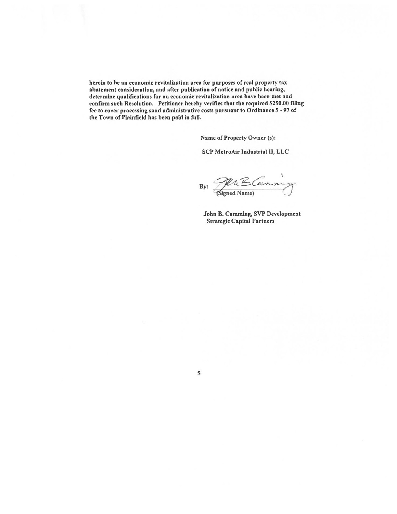herein to be an economic revitalization area for purposes of real property tax abatement consideration, and after publication of notice and public hearing, determine qualifications for an economic revitalization area have been met and confirm such Resolution. Petitioner hereby verifies that the required \$250.00 filing fee to cover processing sand administrative costs pursuan<sup>t</sup> to Ordinance 5 - 97 of the Town of Plainfield has been paid in full.

Name of Property Owner (s):

SCP MetroAir Industrial II, LLC

 $By: \mathscr{H}$  $Name$ )  $\bigcup$ 

John B. Cumming, SVP Development Strategic Capital Partners

5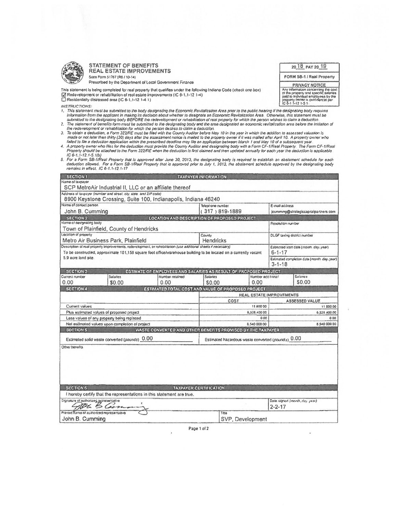

**STATEMENT OF BENEFITS REAL ESTATE IMPROVEMENTS** State Form 51767 (R6 / 10-14)

Prescribed by the Department of Local Government Finance

This statement is being completed for real property that qualifies under the following Indiana Code (check one box). The Redevelopment or reliability of real estate improvements (IC 6-1,1-12 1-4)<br>  $\Box$  Reakdentially distressed area (IC 6-1,1-12.1-4.1)

**INSTRUCTIONS:** 

2018 PAY 2019

FORM SB-1 / Real Property

**PRIVACY NOTICE** Any information concerning the cost<br>of the property and specific selepes<br>of the property and specific selepes<br>paid to address unployees by the<br>property owned is confidential per<br> $|C|$   $Q-1$   $I-12$   $1-5.3$ .

- submitted to the designating body BEFORE the redevelopment or rehabilition of real property for which the person wishes to claim a deduction.<br>2. The statement of benefits form must be submitted to the designating body and
- ). To obtain a deduction, a Form 322/RE must be filed with the County Auditor before May 10 in the year in which the addition to assessed valuation is<br>made or not later than thirty (30) days after the essessment notice is
- 
- made or not later than thirty (30) days after the assessment notice is mailed to the property owner if it was malied after April 10. A property owner who<br>failed to like a deduction explication within the prescribed deadli

| <b>SECTION 1</b><br><b>TAXPAYER INFORMATION</b>                                                                                                    |                                                     |  |
|----------------------------------------------------------------------------------------------------------------------------------------------------|-----------------------------------------------------|--|
| Name of taxpayer                                                                                                                                   |                                                     |  |
| SCP MetroAir Industrial II, LLC or an affiliate thereof                                                                                            |                                                     |  |
| Address of taxpayer (number and sirce), city, slate, and ZIP code).                                                                                |                                                     |  |
| 8900 Keystone Crossing, Suite 100, Indianapolis, Indiana 46240<br>Name of contact person                                                           |                                                     |  |
| Telephone number                                                                                                                                   | E-mail address                                      |  |
| $(317)819-1889$<br>John B. Cumming                                                                                                                 | jcumming@strolegiccapitalpartners.com               |  |
| LOCATION AND DESCRIPTION OF PROPOSED PROJECT<br><b>SECTION 2</b><br>Name of designating body                                                       | Resolution number                                   |  |
| Town of Plainfield, County of Hendricks                                                                                                            |                                                     |  |
| Location of property<br>County                                                                                                                     | <b>DLGF taxing district number</b>                  |  |
| Metro Air Business Park, Plainfield<br>Hendricks                                                                                                   |                                                     |  |
| Description of real property improvements, redevelopment, or rehabilitation (use additional sheets if necessary)                                   | Estimated start date (month, day, year)             |  |
| To be constructed, approximate 101,158 square foot office/warehouse building to be located on a currently vacant                                   | $6 - 1 - 17$                                        |  |
| 5.9 acre land site.                                                                                                                                | Estimated completion date (month, day, year)        |  |
|                                                                                                                                                    | $3 - 1 - 18$                                        |  |
| <b>SECTION 3</b><br><b>ESTIMATE OF EMPLOYEES AND SALARIES AS RESULT OF PROPOSED PROJECT</b>                                                        |                                                     |  |
| Current number<br><b>Salades</b><br>Number retained<br>Salades<br>Number additional                                                                | Galarios                                            |  |
| 0.00<br>0.00<br>0.00<br>\$0.00<br>\$0.00                                                                                                           | \$0.00                                              |  |
| <b>SECTION 4</b><br>ESTIMATED TOTAL COST AND VALUE OF PROPOSED PROJECT                                                                             |                                                     |  |
| REAL ESTATE IMPROVEMENTS                                                                                                                           |                                                     |  |
| COST                                                                                                                                               | <b>ASSESSED VALUE</b>                               |  |
| Current values<br>11 600 00                                                                                                                        | 11 800 00                                           |  |
| Plus estimated values of proposed project<br>6,528,400.00                                                                                          | 6 528 400 00                                        |  |
| Lass values of any property being replaced<br>0.00                                                                                                 | 0.00<br><b>8 540 000 00</b>                         |  |
| Net estimated values upon completion of project<br>8,540,000.00<br><b>SECTION 5</b><br>WASTE CONVERTED AND OTHER BENEFITS PROMISED BY THE TAXPAYER |                                                     |  |
|                                                                                                                                                    |                                                     |  |
| Estimated solid waste converted (pounds) 0.00                                                                                                      | Estimated hazardous waste converted (pounds) $0.00$ |  |
| Other benefits                                                                                                                                     |                                                     |  |
|                                                                                                                                                    |                                                     |  |
|                                                                                                                                                    |                                                     |  |
|                                                                                                                                                    |                                                     |  |
|                                                                                                                                                    |                                                     |  |
|                                                                                                                                                    |                                                     |  |
| <b>SECTION 6</b><br><b>TAXPAYER CERTIFICATION</b>                                                                                                  |                                                     |  |
| I hereby certify that the representations in this statement are true.                                                                              |                                                     |  |
|                                                                                                                                                    |                                                     |  |
| Signature of authorized representative                                                                                                             | Data signed (month, day, year).<br>$2 - 2 - 17$     |  |
| Printed hama of authorized representative<br>Tide                                                                                                  |                                                     |  |
|                                                                                                                                                    |                                                     |  |

Page 1 of 2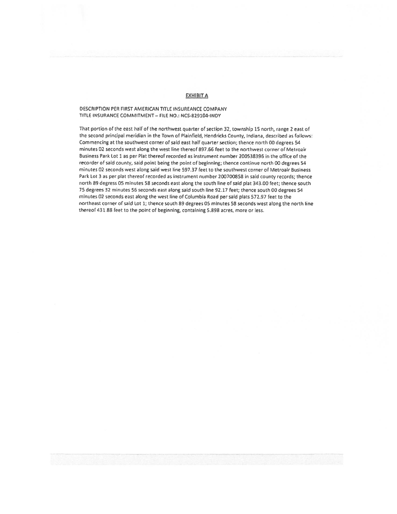#### **EXHIBIT A**

#### DESCRIPTION PER FIRST AMERICAN TITLE INSUREANCE COMPANY TITLE INSURANCE COMMITMENT - FILE NO.: NCS-829104-INDY

That portion of the east half of the northwest quarter of section 32, township 15 north, range 2 east of the second principal meridian in the Town of Plainfield, Hendricks County, Indiana, described as follows: Commencing at the southwest corner of said east half quarter section; thence north 00 degrees 54 minutes 02 seconds west along the west line thereof 897.66 feet to the northwest corner of Metroair Business Park Lot 1 as per Plat thereof recorded as instrument number 200538396 in the office of the recorder of said county, said point being the point of beginning; thence continue north 00 degrees 54 minutes 02 seconds west along said west line 597.37 feet to the southwest corner of Metroair Business Park Lot 3 as per plat thereof recorded as instrument number 200700858 in said county records; thence north 89 degress 05 minutes 58 seconds east along the south line of said plat 343.00 feet; thence south 75 degrees 32 minutes 56 seconds east along said south line 92.17 feet; thence south 00 degrees 54 minutes 02 seconds east along the west line of Columbia Road per said plats 572.97 feet to the northeast corner of said Lot 1; thence south 89 degrees 05 minutes 58 seconds west along the north line thereof 431.88 feet to the point of beginning, containing 5.898 acres, more or less.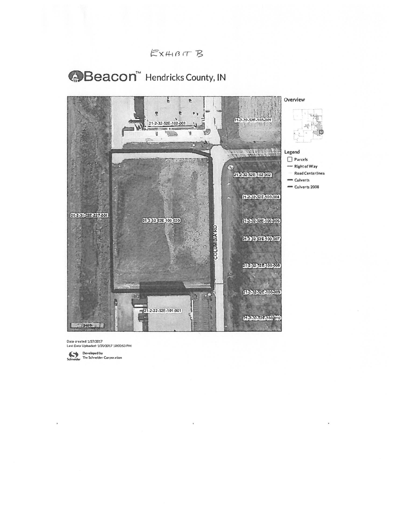



Date created: 1/27/2017 Last Data Uploaded: 1/20/2017 1000:53 PM